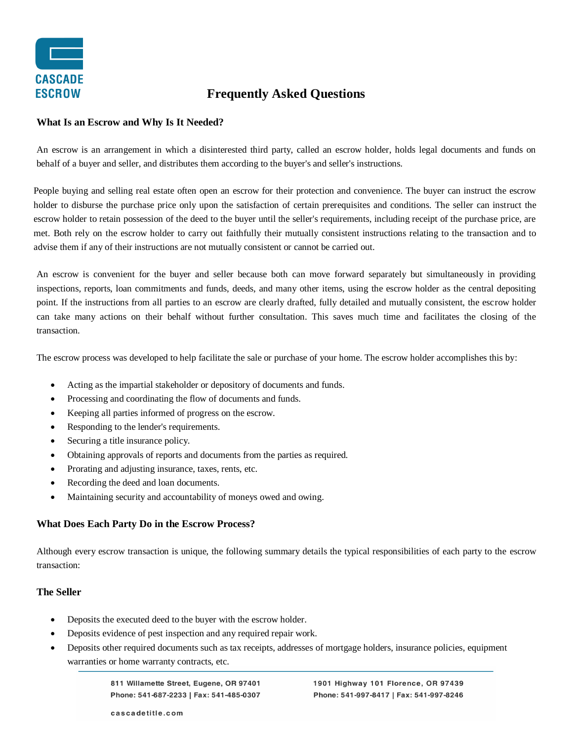

# **Frequently Asked Questions**

#### **What Is an Escrow and Why Is It Needed?**

An escrow is an arrangement in which a disinterested third party, called an escrow holder, holds legal documents and funds on behalf of a buyer and seller, and distributes them according to the buyer's and seller's instructions.

People buying and selling real estate often open an escrow for their protection and convenience. The buyer can instruct the escrow holder to disburse the purchase price only upon the satisfaction of certain prerequisites and conditions. The seller can instruct the escrow holder to retain possession of the deed to the buyer until the seller's requirements, including receipt of the purchase price, are met. Both rely on the escrow holder to carry out faithfully their mutually consistent instructions relating to the transaction and to advise them if any of their instructions are not mutually consistent or cannot be carried out.

An escrow is convenient for the buyer and seller because both can move forward separately but simultaneously in providing inspections, reports, loan commitments and funds, deeds, and many other items, using the escrow holder as the central depositing point. If the instructions from all parties to an escrow are clearly drafted, fully detailed and mutually consistent, the escrow holder can take many actions on their behalf without further consultation. This saves much time and facilitates the closing of the transaction.

The escrow process was developed to help facilitate the sale or purchase of your home. The escrow holder accomplishes this by:

- Acting as the impartial stakeholder or depository of documents and funds.
- Processing and coordinating the flow of documents and funds.
- Keeping all parties informed of progress on the escrow.
- Responding to the lender's requirements.
- Securing a title insurance policy.
- Obtaining approvals of reports and documents from the parties as required.
- Prorating and adjusting insurance, taxes, rents, etc.
- Recording the deed and loan documents.
- Maintaining security and accountability of moneys owed and owing.

## **What Does Each Party Do in the Escrow Process?**

Although every escrow transaction is unique, the following summary details the typical responsibilities of each party to the escrow transaction:

## **The Seller**

- Deposits the executed deed to the buyer with the escrow holder.
- Deposits evidence of pest inspection and any required repair work.
- Deposits other required documents such as tax receipts, addresses of mortgage holders, insurance policies, equipment warranties or home warranty contracts, etc.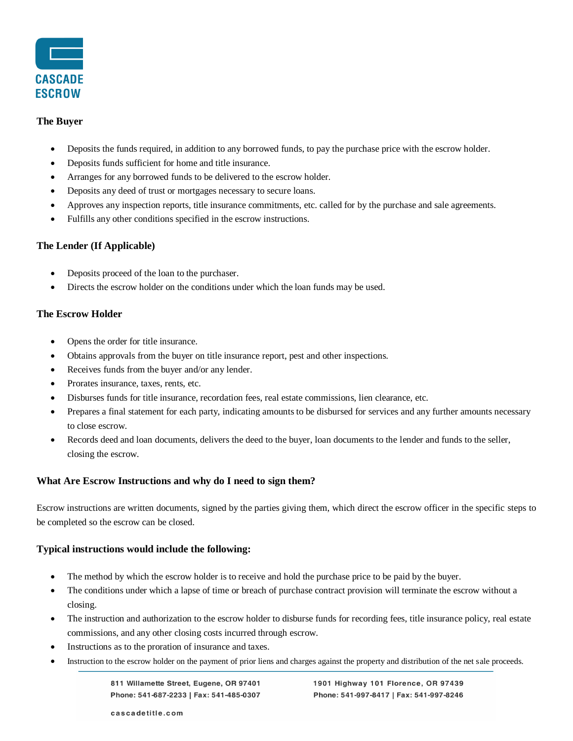

#### **The Buyer**

- Deposits the funds required, in addition to any borrowed funds, to pay the purchase price with the escrow holder.
- Deposits funds sufficient for home and title insurance.
- Arranges for any borrowed funds to be delivered to the escrow holder.
- Deposits any deed of trust or mortgages necessary to secure loans.
- Approves any inspection reports, title insurance commitments, etc. called for by the purchase and sale agreements.
- Fulfills any other conditions specified in the escrow instructions.

#### **The Lender (If Applicable)**

- Deposits proceed of the loan to the purchaser.
- Directs the escrow holder on the conditions under which the loan funds may be used.

## **The Escrow Holder**

- Opens the order for title insurance.
- Obtains approvals from the buyer on title insurance report, pest and other inspections.
- Receives funds from the buyer and/or any lender.
- Prorates insurance, taxes, rents, etc.
- Disburses funds for title insurance, recordation fees, real estate commissions, lien clearance, etc.
- Prepares a final statement for each party, indicating amounts to be disbursed for services and any further amounts necessary to close escrow.
- Records deed and loan documents, delivers the deed to the buyer, loan documents to the lender and funds to the seller, closing the escrow.

## **What Are Escrow Instructions and why do I need to sign them?**

Escrow instructions are written documents, signed by the parties giving them, which direct the escrow officer in the specific steps to be completed so the escrow can be closed.

## **Typical instructions would include the following:**

- The method by which the escrow holder is to receive and hold the purchase price to be paid by the buyer.
- The conditions under which a lapse of time or breach of purchase contract provision will terminate the escrow without a closing.
- The instruction and authorization to the escrow holder to disburse funds for recording fees, title insurance policy, real estate commissions, and any other closing costs incurred through escrow.
- Instructions as to the proration of insurance and taxes.
- Instruction to the escrow holder on the payment of prior liens and charges against the property and distribution of the net sale proceeds.